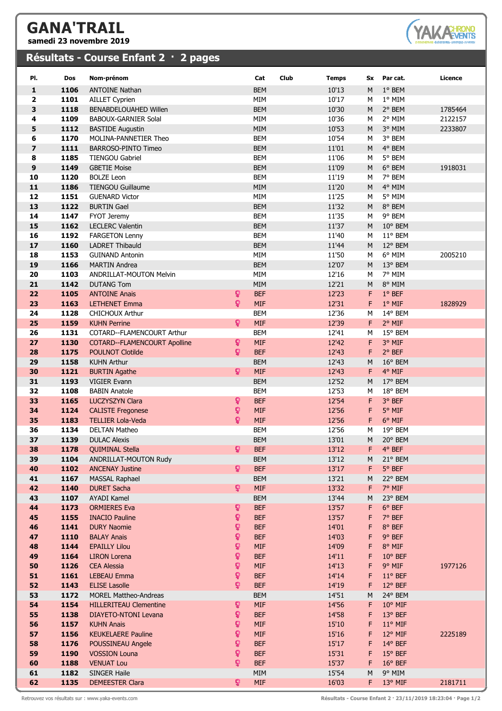## **GANA'TRAIL**

**samedi 23 novembre 2019**

## **Résultats - Course Enfant 2 · 2 pages**



| PI.                     | Dos          | Nom-prénom                                      |                    | Club<br>Cat              | <b>Temps</b>   | Sx     | Par cat.           | Licence |
|-------------------------|--------------|-------------------------------------------------|--------------------|--------------------------|----------------|--------|--------------------|---------|
| $\mathbf{1}$            | 1106         | <b>ANTOINE Nathan</b>                           |                    | <b>BEM</b>               | 10'13          | M      | 1° BEM             |         |
| $\overline{2}$          | 1101         | <b>AILLET Cyprien</b>                           |                    | MIM                      | 10'17          | M      | 1° MIM             |         |
| 3                       | 1118         | <b>BENABDELOUAHED Willen</b>                    |                    | <b>BEM</b>               | 10'30          | M      | 2° BEM             | 1785464 |
| 4                       | 1109         | <b>BABOUX-GARNIER Solal</b>                     |                    | MIM                      | 10'36          | M      | 2° MIM             | 2122157 |
| 5                       | 1112         | <b>BASTIDE Augustin</b>                         |                    | MIM                      | 10'53          | M      | 3° MIM             | 2233807 |
| 6                       | 1170         | MOLINA-PANNETIER Theo                           |                    | <b>BEM</b>               | 10'54          | М      | 3° BEM             |         |
| $\overline{\mathbf{z}}$ | 1111         | <b>BARROSO-PINTO Timeo</b>                      |                    | <b>BEM</b>               | 11'01          | M      | 4° BEM             |         |
| 8                       | 1185         | <b>TIENGOU Gabriel</b>                          |                    | <b>BEM</b>               | 11'06          | M      | 5° BEM             |         |
| 9                       | 1149         | <b>GBETIE Moise</b>                             |                    | <b>BEM</b>               | 11'09          | M      | 6° BEM             | 1918031 |
| 10                      | 1120         | <b>BOLZE Leon</b>                               |                    | <b>BEM</b>               | 11'19          | М      | 7° BEM             |         |
| 11                      | 1186         | <b>TIENGOU Guillaume</b>                        |                    | MIM                      | 11'20          | M      | 4° MIM             |         |
| 12                      | 1151         | <b>GUENARD Victor</b>                           |                    | MIM                      | 11'25          | М      | 5° MIM             |         |
| 13                      | 1122         | <b>BURTIN Gael</b>                              |                    | <b>BEM</b>               | 11'32          | M      | 8° BEM             |         |
| 14                      | 1147<br>1162 | <b>FYOT Jeremy</b><br><b>LECLERC Valentin</b>   |                    | <b>BEM</b><br><b>BEM</b> | 11'35<br>11'37 | M<br>M | 9° BEM<br>10° BEM  |         |
| 15<br>16                | 1192         |                                                 |                    | <b>BEM</b>               | 11'40          | M      | 11° BEM            |         |
| 17                      | 1160         | <b>FARGETON Lenny</b><br><b>LADRET Thibauld</b> |                    | <b>BEM</b>               | 11'44          | M      | 12° BEM            |         |
| 18                      | 1153         | <b>GUINAND Antonin</b>                          |                    | MIM                      | 11'50          | М      | 6° MIM             | 2005210 |
| 19                      | 1166         | <b>MARTIN Andrea</b>                            |                    | <b>BEM</b>               | 12'07          | M      | 13° BEM            |         |
| 20                      | 1103         | <b>ANDRILLAT-MOUTON Melvin</b>                  |                    | MIM                      | 12'16          | М      | 7° MIM             |         |
| 21                      | 1142         | <b>DUTANG Tom</b>                               |                    | MIM                      | 12'21          | M      | 8° MIM             |         |
| 22                      | 1105         | <b>ANTOINE Anais</b>                            | ò                  | <b>BEF</b>               | 12'23          | F      | 1° BEF             |         |
| 23                      | 1163         | <b>LETHENET Emma</b>                            | Q.                 | <b>MIF</b>               | 12'31          | F      | 1° MIF             | 1828929 |
| 24                      | 1128         | <b>CHICHOUX Arthur</b>                          |                    | <b>BEM</b>               | 12'36          | М      | 14° BEM            |         |
| 25                      | 1159         | <b>KUHN Perrine</b>                             | ò                  | <b>MIF</b>               | 12'39          | F      | 2° MIF             |         |
| 26                      | 1131         | COTARD--FLAMENCOURT Arthur                      |                    | <b>BEM</b>               | 12'41          | М      | 15° BEM            |         |
| 27                      | 1130         | <b>COTARD--FLAMENCOURT Apolline</b>             | ò                  | <b>MIF</b>               | 12'42          | F      | 3° MIF             |         |
| 28                      | 1175         | <b>POULNOT Clotilde</b>                         | ò                  | <b>BEF</b>               | 12'43          | F      | 2° BEF             |         |
| 29                      | 1158         | <b>KUHN Arthur</b>                              |                    | <b>BEM</b>               | 12'43          | M      | 16° BEM            |         |
| 30                      | 1121         | <b>BURTIN Agathe</b>                            | ុ                  | <b>MIF</b>               | 12'43          | F      | 4° MIF             |         |
| 31                      | 1193         | <b>VIGIER Evann</b>                             |                    | <b>BEM</b>               | 12'52          | M      | 17° BEM            |         |
| 32                      | 1108         | <b>BABIN Anatole</b>                            |                    | <b>BEM</b>               | 12'53          | M      | 18° BEM            |         |
| 33                      | 1165         | <b>LUCZYSZYN Clara</b>                          | Q.                 | <b>BEF</b>               | 12'54          | F      | 3° BEF             |         |
| 34                      | 1124         | <b>CALISTE Fregonese</b>                        | Q.                 | <b>MIF</b>               | 12'56          | F      | 5° MIF             |         |
| 35                      | 1183         | <b>TELLIER Lola-Veda</b>                        | ò.                 | <b>MIF</b>               | 12'56          | F      | 6° MIF             |         |
| 36                      | 1134         | <b>DELTAN Matheo</b>                            |                    | <b>BEM</b>               | 12'56          | М      | 19° BEM            |         |
| 37                      | 1139         | <b>DULAC Alexis</b>                             |                    | <b>BEM</b>               | 13'01          | M      | 20° BEM            |         |
| 38                      | 1178         | <b>QUIMINAL Stella</b>                          | ò                  | <b>BEF</b>               | 13'12          | F      | 4° BEF             |         |
| 39                      | 1104         | ANDRILLAT-MOUTON Rudy                           | ò.                 | <b>BEM</b>               | 13'12          | M      | 21° BEM            |         |
| 40<br>41                | 1102<br>1167 | <b>ANCENAY Justine</b>                          |                    | <b>BEF</b><br><b>BEM</b> | 13'17<br>13'21 | F<br>М | 5° BEF<br>22° BEM  |         |
| 42                      | 1140         | <b>MASSAL Raphael</b><br><b>DURET Sacha</b>     | Q.                 | <b>MIF</b>               | 13'32          | F      | 7° MIF             |         |
| 43                      | 1107         | AYADI Kamel                                     |                    | <b>BEM</b>               | 13'44          | M      | 23° BEM            |         |
| 44                      | 1173         | <b>ORMIERES Eva</b>                             | Q.                 | <b>BEF</b>               | 13'57          | F      | 6° BEF             |         |
| 45                      | 1155         | <b>INACIO Pauline</b>                           | Q.                 | <b>BEF</b>               | 13'57          | F      | 7° BEF             |         |
| 46                      | 1141         | <b>DURY Naomie</b>                              | ò.                 | <b>BEF</b>               | 14'01          | F      | 8° BEF             |         |
| 47                      | 1110         | <b>BALAY Anais</b>                              | Q.                 | <b>BEF</b>               | 14'03          | F      | 9° BEF             |         |
| 48                      | 1144         | <b>EPAILLY Lilou</b>                            | Ó.                 | <b>MIF</b>               | 14'09          | F      | 8° MIF             |         |
| 49                      | 1164         | <b>LIRON</b> Lorena                             | Ó,                 | <b>BEF</b>               | 14'11          | F      | 10° BEF            |         |
| 50                      | 1126         | <b>CEA Alessia</b>                              | Ó,                 | <b>MIF</b>               | 14'13          | F      | 9° MIF             | 1977126 |
| 51                      | 1161         | <b>LEBEAU Emma</b>                              | Q.                 | <b>BEF</b>               | 14'14          | F      | 11° BEF            |         |
| 52                      | 1143         | <b>ELISE Lasolle</b>                            | Q.                 | <b>BEF</b>               | 14'19          | F      | 12° BEF            |         |
| 53                      | 1172         | MOREL Mattheo-Andreas                           |                    | <b>BEM</b>               | 14'51          | М      | 24° BEM            |         |
| 54                      | 1154         | <b>HILLERITEAU Clementine</b>                   | ò                  | <b>MIF</b>               | 14'56          | F      | $10^{\circ}$ MIF   |         |
| 55                      | 1138         | <b>DIAYETO-NTONI Levana</b>                     | Ŷ                  | <b>BEF</b>               | 14'58          | F      | 13° BEF            |         |
| 56                      | 1157         | <b>KUHN Anais</b>                               | ò.                 | <b>MIF</b>               | 15'10          | F      | 11° MIF            |         |
| 57                      | 1156         | <b>KEUKELAERE Pauline</b>                       | Q.<br>$\mathbf{Q}$ | <b>MIF</b>               | 15'16          | F      | 12° MIF            | 2225189 |
| 58<br>59                | 1176<br>1190 | POUSSINEAU Angele                               | Ŷ                  | <b>BEF</b><br><b>BEF</b> | 15'17<br>15'31 | F      | 14° BEF            |         |
| 60                      | 1188         | <b>VOSSION Louna</b><br><b>VENUAT Lou</b>       | Q.                 | <b>BEF</b>               | 15'37          | F<br>F | 15° BEF<br>16° BEF |         |
| 61                      | 1182         | SINGER Haile                                    |                    | MIM                      | 15'54          | М      | 9° MIM             |         |
| 62                      | 1135         | <b>DEMEESTER Clara</b>                          | Q.                 | <b>MIF</b>               | 16'03          | F.     | 13° MIF            | 2181711 |

Retrouvez vos résultats sur : www.yaka-events.com **Résultats - Course Enfant 2 · 23/11/2019 18:23:04 · Page 1/2**